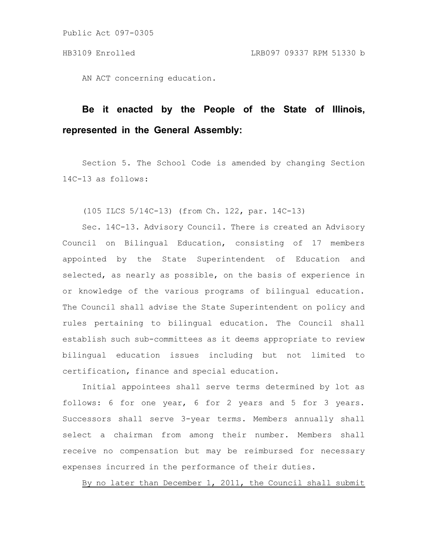Public Act 097-0305

AN ACT concerning education.

## **Be it enacted by the People of the State of Illinois, represented in the General Assembly:**

Section 5. The School Code is amended by changing Section 14C-13 as follows:

(105 ILCS 5/14C-13) (from Ch. 122, par. 14C-13)

Sec. 14C-13. Advisory Council. There is created an Advisory Council on Bilingual Education, consisting of 17 members appointed by the State Superintendent of Education and selected, as nearly as possible, on the basis of experience in or knowledge of the various programs of bilingual education. The Council shall advise the State Superintendent on policy and rules pertaining to bilingual education. The Council shall establish such sub-committees as it deems appropriate to review bilingual education issues including but not limited to certification, finance and special education.

Initial appointees shall serve terms determined by lot as follows: 6 for one year, 6 for 2 years and 5 for 3 years. Successors shall serve 3-year terms. Members annually shall select a chairman from among their number. Members shall receive no compensation but may be reimbursed for necessary expenses incurred in the performance of their duties.

By no later than December 1, 2011, the Council shall submit